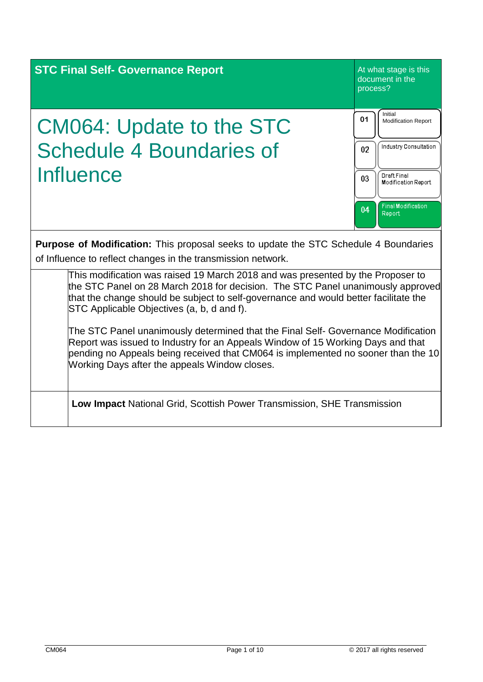| <b>STC Final Self- Governance Report</b>                                                                                                                                                                                                                                                                                                                                 | At what stage is this<br>document in the<br>process?                                      |  |
|--------------------------------------------------------------------------------------------------------------------------------------------------------------------------------------------------------------------------------------------------------------------------------------------------------------------------------------------------------------------------|-------------------------------------------------------------------------------------------|--|
| <b>CM064: Update to the STC</b><br><b>Schedule 4 Boundaries of</b><br>Influence                                                                                                                                                                                                                                                                                          | Initial<br>01<br><b>Modification Report</b><br>Industry Consultation<br>02<br>Draft Final |  |
| <b>Purpose of Modification:</b> This proposal seeks to update the STC Schedule 4 Boundaries                                                                                                                                                                                                                                                                              | 03<br>Modification Report<br><b>Final Modification</b><br>04<br>Report                    |  |
| of Influence to reflect changes in the transmission network.<br>This modification was raised 19 March 2018 and was presented by the Proposer to<br>the STC Panel on 28 March 2018 for decision. The STC Panel unanimously approved<br>that the change should be subject to self-governance and would better facilitate the<br>STC Applicable Objectives (a, b, d and f). |                                                                                           |  |
| The STC Panel unanimously determined that the Final Self- Governance Modification<br>Report was issued to Industry for an Appeals Window of 15 Working Days and that<br>pending no Appeals being received that CM064 is implemented no sooner than the 10<br>Working Days after the appeals Window closes.                                                               |                                                                                           |  |
| <b>Low Impact National Grid, Scottish Power Transmission, SHE Transmission</b>                                                                                                                                                                                                                                                                                           |                                                                                           |  |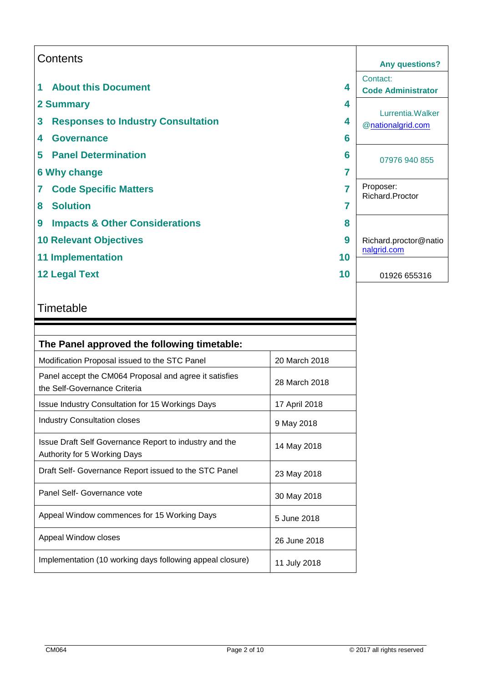|                | Contents                                  |    | <b>Any questions?</b>                  |
|----------------|-------------------------------------------|----|----------------------------------------|
| 1              | <b>About this Document</b>                | 4  | Contact:<br><b>Code Administrator</b>  |
|                | 2 Summary                                 | 4  |                                        |
| 3              | <b>Responses to Industry Consultation</b> | 4  | Lurrentia. Walker<br>@nationalgrid.com |
| 4              | <b>Governance</b>                         | 6  |                                        |
| 5              | <b>Panel Determination</b>                | 6  | 07976 940 855                          |
|                | <b>6 Why change</b>                       | 7  |                                        |
| $\overline{7}$ | <b>Code Specific Matters</b>              |    | Proposer:<br>Richard.Proctor           |
| 8              | <b>Solution</b>                           |    |                                        |
| 9              | <b>Impacts &amp; Other Considerations</b> | 8  |                                        |
|                | <b>10 Relevant Objectives</b>             | 9  | Richard.proctor@natio                  |
|                | <b>11 Implementation</b>                  | 10 | nalgrid.com                            |
|                | <b>12 Legal Text</b>                      | 10 | 01926 655316                           |

# **Timetable**

| The Panel approved the following timetable:                                            |               |  |  |  |
|----------------------------------------------------------------------------------------|---------------|--|--|--|
| Modification Proposal issued to the STC Panel                                          | 20 March 2018 |  |  |  |
| Panel accept the CM064 Proposal and agree it satisfies<br>the Self-Governance Criteria | 28 March 2018 |  |  |  |
| <b>Issue Industry Consultation for 15 Workings Days</b>                                | 17 April 2018 |  |  |  |
| Industry Consultation closes                                                           | 9 May 2018    |  |  |  |
| Issue Draft Self Governance Report to industry and the<br>Authority for 5 Working Days | 14 May 2018   |  |  |  |
| Draft Self- Governance Report issued to the STC Panel                                  | 23 May 2018   |  |  |  |
| Panel Self- Governance vote                                                            | 30 May 2018   |  |  |  |
| Appeal Window commences for 15 Working Days                                            | 5 June 2018   |  |  |  |
| Appeal Window closes                                                                   | 26 June 2018  |  |  |  |
| Implementation (10 working days following appeal closure)                              | 11 July 2018  |  |  |  |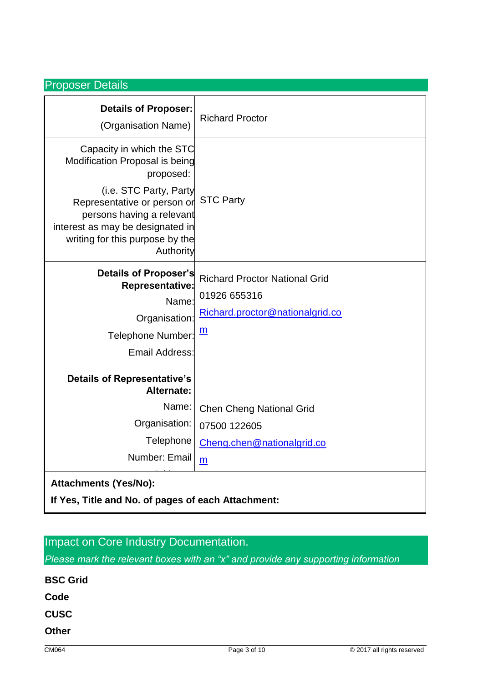## Proposer Details

| <b>Details of Proposer:</b><br>(Organisation Name)                                                                                                                                                                                                 | <b>Richard Proctor</b>                                                                                     |
|----------------------------------------------------------------------------------------------------------------------------------------------------------------------------------------------------------------------------------------------------|------------------------------------------------------------------------------------------------------------|
| Capacity in which the STC<br>Modification Proposal is being<br>proposed:<br>(i.e. STC Party, Party<br>Representative or person or<br>persons having a relevant<br>interest as may be designated in<br>writing for this purpose by the<br>Authority | <b>STC Party</b>                                                                                           |
| Details of Proposer's<br><b>Representative:</b><br>Name:<br>Organisation:<br><b>Telephone Number:</b><br><b>Email Address:</b>                                                                                                                     | <b>Richard Proctor National Grid</b><br>01926 655316<br>Richard.proctor@nationalgrid.co<br>$\underline{m}$ |
| <b>Details of Representative's</b><br>Alternate:<br>Name:<br>Organisation:<br>Telephone<br>Number: Email                                                                                                                                           | <b>Chen Cheng National Grid</b><br>07500 122605<br>Cheng.chen@nationalgrid.co<br>m                         |
| <b>Attachments (Yes/No):</b><br>If Yes, Title and No. of pages of each Attachment:                                                                                                                                                                 |                                                                                                            |

# Impact on Core Industry Documentation.

*Please mark the relevant boxes with an "x" and provide any supporting information*

| <b>BSC Grid</b> |  |  |  |
|-----------------|--|--|--|
| Code            |  |  |  |
| <b>CUSC</b>     |  |  |  |
| <b>Other</b>    |  |  |  |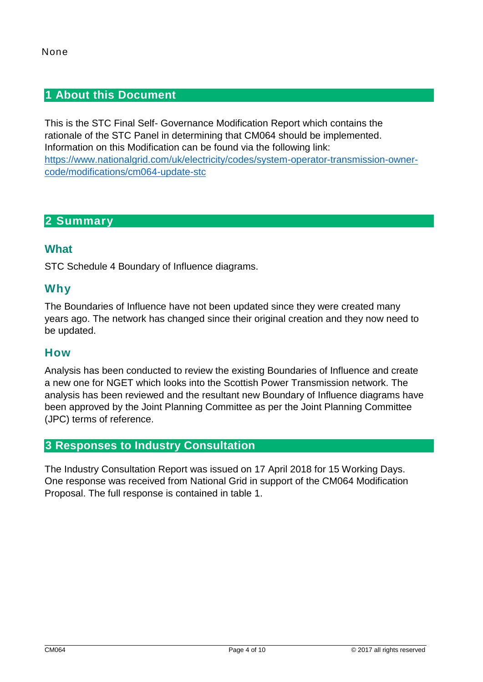## **1 About this Document**

This is the STC Final Self- Governance Modification Report which contains the rationale of the STC Panel in determining that CM064 should be implemented. Information on this Modification can be found via the following link: [https://www.nationalgrid.com/uk/electricity/codes/system-operator-transmission-owner](https://www.nationalgrid.com/uk/electricity/codes/system-operator-transmission-owner-code/modifications/cm064-update-stc)[code/modifications/cm064-update-stc](https://www.nationalgrid.com/uk/electricity/codes/system-operator-transmission-owner-code/modifications/cm064-update-stc)

# **2 Summary**

## **What**

STC Schedule 4 Boundary of Influence diagrams.

## **Why**

The Boundaries of Influence have not been updated since they were created many years ago. The network has changed since their original creation and they now need to be updated.

### **How**

Analysis has been conducted to review the existing Boundaries of Influence and create a new one for NGET which looks into the Scottish Power Transmission network. The analysis has been reviewed and the resultant new Boundary of Influence diagrams have been approved by the Joint Planning Committee as per the Joint Planning Committee (JPC) terms of reference.

### **3 Responses to Industry Consultation**

The Industry Consultation Report was issued on 17 April 2018 for 15 Working Days. One response was received from National Grid in support of the CM064 Modification Proposal. The full response is contained in table 1.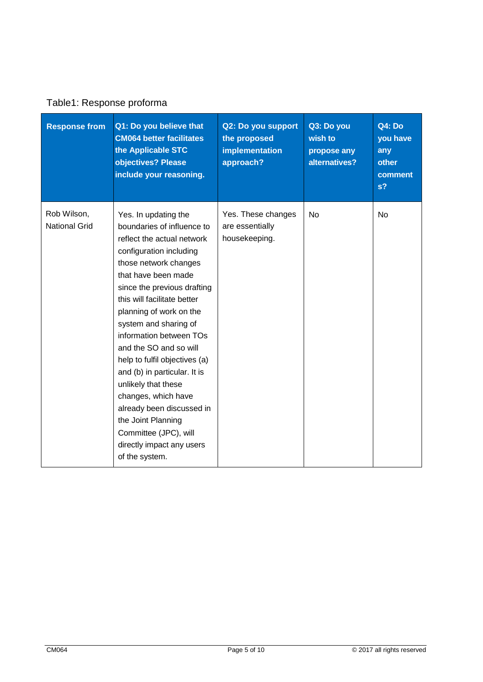| <b>Response from</b>                | Q1: Do you believe that<br><b>CM064 better facilitates</b><br>the Applicable STC<br>objectives? Please<br>include your reasoning.                                                                                                                                                                                                                                                                                                                                                                                                                                            | Q2: Do you support<br>the proposed<br>implementation<br>approach? | Q3: Do you<br>wish to<br>propose any<br>alternatives? | Q4: Do<br>you have<br>any<br>other<br>comment<br>s <sub>2</sub> |
|-------------------------------------|------------------------------------------------------------------------------------------------------------------------------------------------------------------------------------------------------------------------------------------------------------------------------------------------------------------------------------------------------------------------------------------------------------------------------------------------------------------------------------------------------------------------------------------------------------------------------|-------------------------------------------------------------------|-------------------------------------------------------|-----------------------------------------------------------------|
| Rob Wilson,<br><b>National Grid</b> | Yes. In updating the<br>boundaries of influence to<br>reflect the actual network<br>configuration including<br>those network changes<br>that have been made<br>since the previous drafting<br>this will facilitate better<br>planning of work on the<br>system and sharing of<br>information between TOs<br>and the SO and so will<br>help to fulfil objectives (a)<br>and (b) in particular. It is<br>unlikely that these<br>changes, which have<br>already been discussed in<br>the Joint Planning<br>Committee (JPC), will<br>directly impact any users<br>of the system. | Yes. These changes<br>are essentially<br>housekeeping.            | <b>No</b>                                             | <b>No</b>                                                       |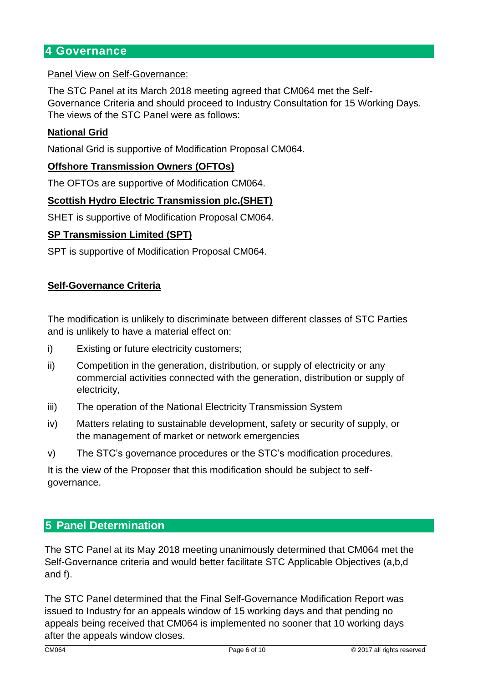## **4 Governance**

#### Panel View on Self-Governance:

The STC Panel at its March 2018 meeting agreed that CM064 met the Self-Governance Criteria and should proceed to Industry Consultation for 15 Working Days. The views of the STC Panel were as follows:

#### **National Grid**

National Grid is supportive of Modification Proposal CM064.

#### **Offshore Transmission Owners (OFTOs)**

The OFTOs are supportive of Modification CM064.

#### **Scottish Hydro Electric Transmission plc.(SHET)**

SHET is supportive of Modification Proposal CM064.

#### **SP Transmission Limited (SPT)**

SPT is supportive of Modification Proposal CM064.

#### **Self-Governance Criteria**

The modification is unlikely to discriminate between different classes of STC Parties and is unlikely to have a material effect on:

- i) Existing or future electricity customers;
- ii) Competition in the generation, distribution, or supply of electricity or any commercial activities connected with the generation, distribution or supply of electricity,
- iii) The operation of the National Electricity Transmission System
- iv) Matters relating to sustainable development, safety or security of supply, or the management of market or network emergencies
- v) The STC's governance procedures or the STC's modification procedures.

It is the view of the Proposer that this modification should be subject to selfgovernance.

#### **5 Panel Determination**

The STC Panel at its May 2018 meeting unanimously determined that CM064 met the Self-Governance criteria and would better facilitate STC Applicable Objectives (a,b,d and f).

The STC Panel determined that the Final Self-Governance Modification Report was issued to Industry for an appeals window of 15 working days and that pending no appeals being received that CM064 is implemented no sooner that 10 working days after the appeals window closes.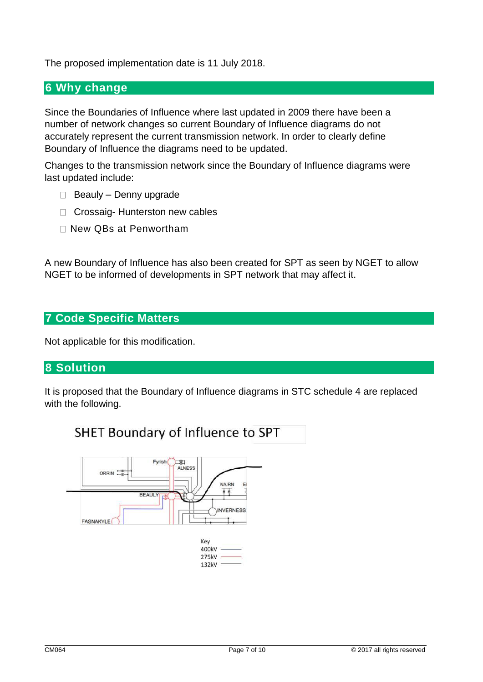The proposed implementation date is 11 July 2018.

## **6 Why change**

Since the Boundaries of Influence where last updated in 2009 there have been a number of network changes so current Boundary of Influence diagrams do not accurately represent the current transmission network. In order to clearly define Boundary of Influence the diagrams need to be updated.

Changes to the transmission network since the Boundary of Influence diagrams were last updated include:

- $\Box$  Beauly Denny upgrade
- □ Crossaig- Hunterston new cables
- □ New QBs at Penwortham

A new Boundary of Influence has also been created for SPT as seen by NGET to allow NGET to be informed of developments in SPT network that may affect it.

## **7 Code Specific Matters**

Not applicable for this modification.

### **8 Solution**

It is proposed that the Boundary of Influence diagrams in STC schedule 4 are replaced with the following.

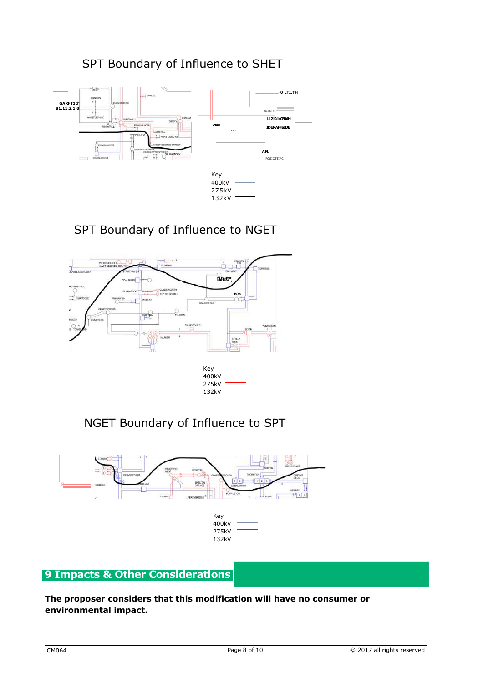# SPT Boundary of Influence to SHET



# SPT Boundary of Influence to NGET



| rey   |  |
|-------|--|
| 400kV |  |
| 275kV |  |
| 132kV |  |

# NGET Boundary of Influence to SPT



## **9 Impacts & Other Considerations**

**The proposer considers that this modification will have no consumer or environmental impact.**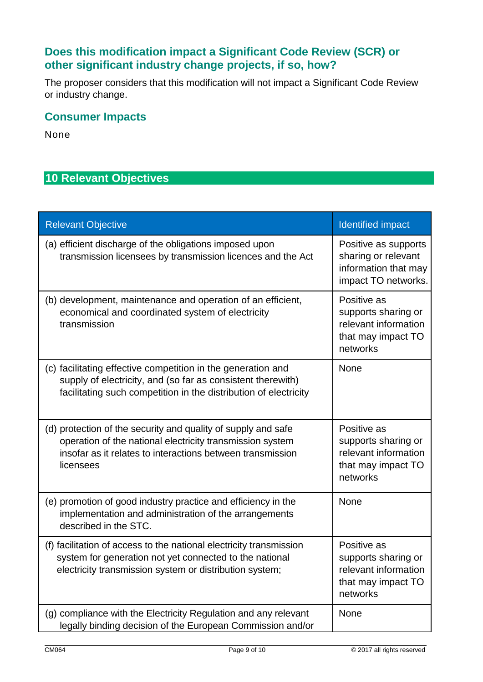# **Does this modification impact a Significant Code Review (SCR) or other significant industry change projects, if so, how?**

The proposer considers that this modification will not impact a Significant Code Review or industry change.

# **Consumer Impacts**

None

# **10 Relevant Objectives**

| <b>Relevant Objective</b>                                                                                                                                                                             | <b>Identified impact</b>                                                                     |
|-------------------------------------------------------------------------------------------------------------------------------------------------------------------------------------------------------|----------------------------------------------------------------------------------------------|
| (a) efficient discharge of the obligations imposed upon<br>transmission licensees by transmission licences and the Act                                                                                | Positive as supports<br>sharing or relevant<br>information that may<br>impact TO networks.   |
| (b) development, maintenance and operation of an efficient,<br>economical and coordinated system of electricity<br>transmission                                                                       | Positive as<br>supports sharing or<br>relevant information<br>that may impact TO<br>networks |
| (c) facilitating effective competition in the generation and<br>supply of electricity, and (so far as consistent therewith)<br>facilitating such competition in the distribution of electricity       | None                                                                                         |
| (d) protection of the security and quality of supply and safe<br>operation of the national electricity transmission system<br>insofar as it relates to interactions between transmission<br>licensees | Positive as<br>supports sharing or<br>relevant information<br>that may impact TO<br>networks |
| (e) promotion of good industry practice and efficiency in the<br>implementation and administration of the arrangements<br>described in the STC.                                                       | None                                                                                         |
| (f) facilitation of access to the national electricity transmission<br>system for generation not yet connected to the national<br>electricity transmission system or distribution system;             | Positive as<br>supports sharing or<br>relevant information<br>that may impact TO<br>networks |
| (g) compliance with the Electricity Regulation and any relevant<br>legally binding decision of the European Commission and/or                                                                         | None                                                                                         |